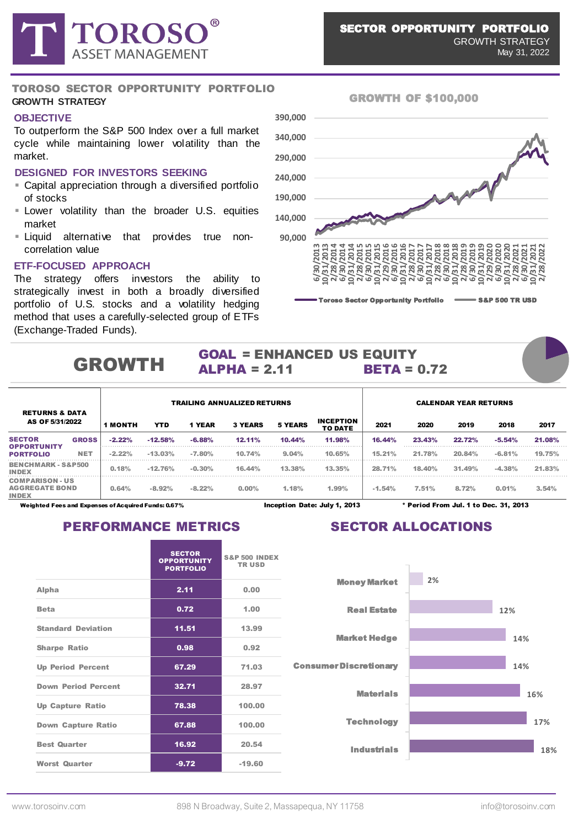

#### **OBJECTIVE**

To outperform the S&P 500 Index over a full market cycle while maintaining lower volatility than the market.

#### **DESIGNED FOR INVESTORS SEEKING**

- **E** Capital appreciation through a diversified portfolio of stocks
- **EXECOM** Lower volatility than the broader U.S. equities market
- **Example 1** Liquid alternative that provides true noncorrelation value

#### **ETF-FOCUSED APPROACH**

The strategy offers investors the ability to strategically invest in both a broadly diversified portfolio of U.S. stocks and a volatility hedging method that uses a carefully-selected group of ETFs (Exchange-Traded Funds).



#### SECTOR OPPORTUNITY PORTFOLIO GROWTH STRATEGY

May 31, 2022

#### GROWTH OF \$100,000

#### GOAL = ENHANCED US EQUITY  $ALPHA = 2.11$  BETA = 0.72 GROWTH

|                                                                 |              | <b>TRAILING ANNUALIZED RETURNS</b> |            |          |                |                |                                    |                                       | <b>CALENDAR YEAR RETURNS</b> |        |          |        |  |  |  |
|-----------------------------------------------------------------|--------------|------------------------------------|------------|----------|----------------|----------------|------------------------------------|---------------------------------------|------------------------------|--------|----------|--------|--|--|--|
| <b>RETURNS &amp; DATA</b><br>AS OF 5/31/2022                    |              | <b>1 MONTH</b>                     | <b>YTD</b> | 1 YEAR   | <b>3 YEARS</b> | <b>5 YEARS</b> | <b>INCEPTION</b><br><b>TO DATE</b> | 2021                                  | 2020                         | 2019   | 2018     | 2017   |  |  |  |
| <b>SECTOR</b>                                                   | <b>GROSS</b> | $-2.22%$                           | $-12.58%$  | $-6.88%$ | $12.11\%$      | 10.44%         | 11.98%                             | 16.44%                                | 23.43%                       | 22.72% | $-5.54%$ | 21.08% |  |  |  |
| OPPORTUNITY<br><b>PORTFOLIO</b>                                 | <b>NET</b>   | $-2.22%$                           | $-13.03%$  | $-7.80%$ | 10.74%         | 9.04%          | 10.65%                             | 15.21%                                | 21.78%                       | 20.84% | $-6.81%$ | 19.75% |  |  |  |
| <b>BENCHMARK - S&amp;P500</b><br><b>INDEX</b>                   |              | 0.18%                              | $-12.76%$  | $-0.30%$ | 16.44%         | 13.38%         | 13.35%                             | 28.71%                                | 18.40%                       | 31.49% | $-4.38%$ | 21.83% |  |  |  |
| <b>COMPARISON - US</b><br><b>AGGREGATE BOND</b><br><b>INDEX</b> |              | 0.64%                              | $-8.92%$   | $-8.22%$ | $0.00\%$       | 1.18%          | 1.99%                              | $-1.54%$                              | 7.51%                        | 8.72%  | 0.01%    | 3.54%  |  |  |  |
| Weighted Fees and Expenses of Acquired Funds: 0.67%             |              |                                    |            |          |                |                | Inception Date: July 1, 2013       | * Period From Jul. 1 to Dec. 31. 2013 |                              |        |          |        |  |  |  |

### PERFORMANCE METRICS SECTOR ALLOCATIONS

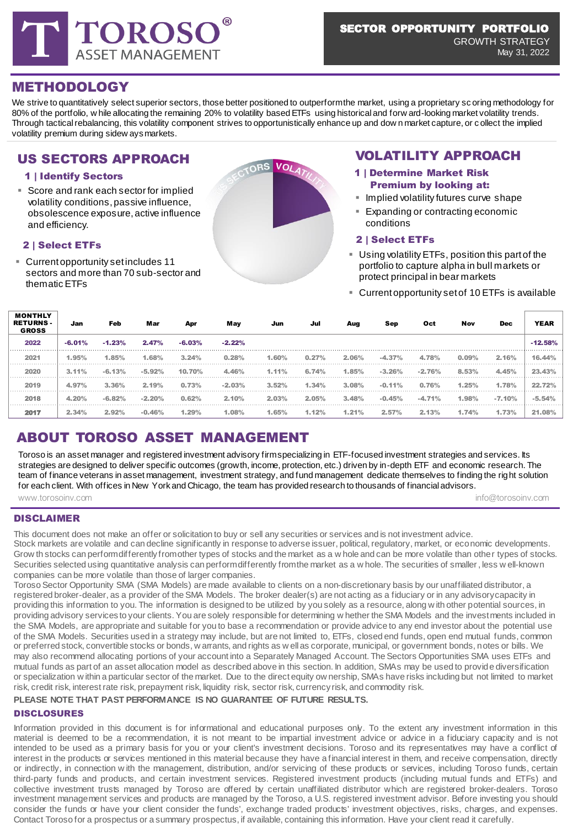

GROWTH STRATEGY May 31, 2022

## METHODOLOGY

We strive to quantitatively select superior sectors, those better positioned to outperform the market, using a proprietary sc oring methodology for 80% of the portfolio, w hile allocating the remaining 20% to volatility based ETFs using historical and forw ard-looking market volatility trends. Through tactical rebalancing, this volatility component strives to opportunistically enhance up and dow n market capture, or c ollect the implied volatility premium during sidew ays markets.

# US SECTORS APPROACH VOLATILITY APPROACH

### 1 | Identify Sectors

■ Score and rank each sector for implied **Example 1999** Premium by looking at:<br>
Implied volatility futures curve shape volatility conditions, passive influence, obsolescence exposure, active influence and efficiency.

#### 2 | Select ETFs

 $\overline{\mathbf{m}}$ 

▪ Current opportunity set includes 11 sectors and more than 70 sub-sector and thematic ETFs



- 1 | Determine Market Risk Premium by looking at:
- 
- Expanding or contracting economic conditions

#### 2 | Select ETFs

- **E** Using volatility ETFs, position this part of the portfolio to capture alpha in bull markets or protect principal in bear markets
- **EXECUTE:** Current opportunity set of 10 ETFs is available

| MONTHLY<br><b>RETURNS-</b><br><b>GROSS</b> | Jan      | Feb      | Mar      | Apr      | May      | Jun   | Jul   | Aug   | Sep      | Oct      | Nov   | <b>Dec</b> | <b>YEAR</b> |
|--------------------------------------------|----------|----------|----------|----------|----------|-------|-------|-------|----------|----------|-------|------------|-------------|
| 2022                                       | $-6.01%$ | $-1.23%$ | 2.47%    | $-6.03%$ | $-2.22%$ |       |       |       |          |          |       |            | $-12.58%$   |
| 2021                                       | 1.95%    | $1.85\%$ | 1.68%    | 3.24%    | 0.28%    | 1.60% | 0.27% | 2.06% | $-4.37%$ | 4.78%    | 0.09% | 2.16%      | 16.44%      |
| 2020                                       | 3.11%    | $-6.13%$ | $-5.92%$ | 10.70%   | 4.46%    | 1.11% | 6.74% | 1.85% | $-3.26%$ | $-2.76%$ | 8.53% | 4.45%      | 23.43%      |
| 2019                                       | 4.97%    | 3.36%    | 2.19%    | 0.73%    | $-2.03%$ | 3.52% | 1.34% | 3.08% | $-0.11%$ | 0.76%    | 1.25% | 1.78%      | 22.72%      |
| 2018                                       | 4.20%    | $-6.82%$ | $-2.20%$ | 0.62%    | 2.10%    | 2.03% | 2.05% | 3.48% | $-0.45%$ | $-4.71%$ | 1.98% | $-7.10%$   | $-5.54%$    |
| 2017                                       | 2.34%    | 2.92%    | $-0.46%$ | 1.29%    | 1.08%    | 1.65% | 1.12% | 1.21% | 2.57%    | 2.13%    | 1.74% | 1.73%      | 21.08%      |

# ABOUT TOROSO ASSET MANAGEMENT

www.torosoinv.com info@torosoinv.com info@torosoinv.com info@torosoinv.com Toroso is an asset manager and registered investment advisory firm specializing in ETF-focused investment strategies and services. Its strategies are designed to deliver specific outcomes (growth, income, protection, etc.) driven by in-depth ETF and economic research. The team of finance veterans in asset management, investment strategy, and fund management dedicate themselves to finding the right solution for each client. With offices in New York and Chicago, the team has provided research to thousands of financial advisors.

### DISCLAIMER

This document does not make an offer or solicitation to buy or sell any securities or services and is not investment advice. Stock markets are volatile and can decline significantly in response to adverse issuer, political, regulatory, market, or economic developments. Grow th stocks can perform differently from other types of stocks and the market as a w hole and can be more volatile than other types of stocks. Securities selected using quantitative analysis can perform differently from the market as a w hole. The securities of smaller, less w ell-known companies can be more volatile than those of larger companies.

Toroso Sector Opportunity SMA (SMA Models) are made available to clients on a non-discretionary basis by our unaffiliated distributor, a registered broker-dealer, as a provider of the SMA Models. The broker dealer(s) are not acting as a fiduciary or in any advisorycapacity in providing this information to you. The information is designed to be utilized by you solely as a resource, along w ith other potential sources, in providing advisory services to your clients. You are solely responsible for determining w hether the SMA Models and the investments included in the SMA Models, are appropriate and suitable for you to base a recommendation or provide advice to any end investor about the potential use of the SMA Models. Securities used in a strategy may include, but are not limited to, ETFs, closed end funds, open end mutual funds, common or preferred stock, convertible stocks or bonds, w arrants, and rights as w ell as corporate, municipal, or government bonds, notes or bills. We may also recommend allocating portions of your account into a Separately Managed Account. The Sectors Opportunities SMA uses ETFs and mutual funds as part of an asset allocation model as described above in this section. In addition, SMAs may be used to provide diversification or specialization w ithin a particular sector of the market. Due to the direct equity ow nership, SMAs have risks including but not limited to market risk, credit risk, interest rate risk, prepayment risk, liquidity risk, sector risk, currency risk, and commodity risk.

#### **PLEASE NOTE THAT PAST PERFORMANCE IS NO GUARANTEE OF FUTURE RESULTS.**

#### DISCLOSURES

Information provided in this document is for informational and educational purposes only. To the extent any investment information in this material is deemed to be a recommendation, it is not meant to be impartial investment advice or advice in a fiduciary capacity and is not intended to be used as a primary basis for you or your client's investment decisions. Toroso and its representatives may have a conflict of interest in the products or services mentioned in this material because they have a financial interest in them, and receive compensation, directly or indirectly, in connection w ith the management, distribution, and/or servicing of these products or services, including Toroso funds, certain third-party funds and products, and certain investment services. Registered investment products (including mutual funds and ETFs) and collective investment trusts managed by Toroso are offered by certain unaffiliated distributor which are registered broker-dealers. Toroso investment management services and products are managed by the Toroso, a U.S. registered investment advisor. Before investing you should consider the funds or have your client consider the funds', exchange traded products' investment objectives, risks, charges, and expenses. Contact Toroso for a prospectus or a summary prospectus, if available, containing this information. Have your client read it carefully.